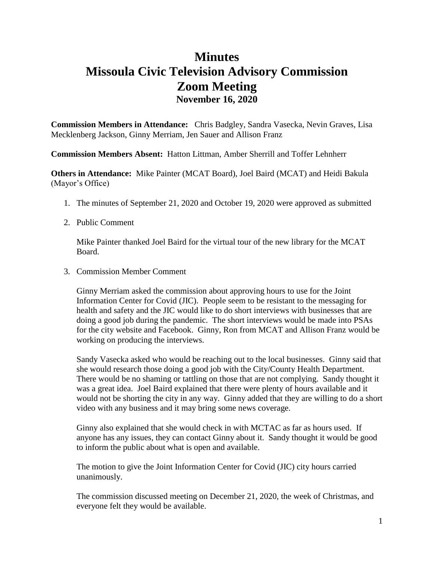## **Minutes Missoula Civic Television Advisory Commission Zoom Meeting November 16, 2020**

**Commission Members in Attendance:** Chris Badgley, Sandra Vasecka, Nevin Graves, Lisa Mecklenberg Jackson, Ginny Merriam, Jen Sauer and Allison Franz

**Commission Members Absent:** Hatton Littman, Amber Sherrill and Toffer Lehnherr

**Others in Attendance:** Mike Painter (MCAT Board), Joel Baird (MCAT) and Heidi Bakula (Mayor's Office)

- 1. The minutes of September 21, 2020 and October 19, 2020 were approved as submitted
- 2. Public Comment

Mike Painter thanked Joel Baird for the virtual tour of the new library for the MCAT Board.

3. Commission Member Comment

Ginny Merriam asked the commission about approving hours to use for the Joint Information Center for Covid (JIC). People seem to be resistant to the messaging for health and safety and the JIC would like to do short interviews with businesses that are doing a good job during the pandemic. The short interviews would be made into PSAs for the city website and Facebook. Ginny, Ron from MCAT and Allison Franz would be working on producing the interviews.

Sandy Vasecka asked who would be reaching out to the local businesses. Ginny said that she would research those doing a good job with the City/County Health Department. There would be no shaming or tattling on those that are not complying. Sandy thought it was a great idea. Joel Baird explained that there were plenty of hours available and it would not be shorting the city in any way. Ginny added that they are willing to do a short video with any business and it may bring some news coverage.

Ginny also explained that she would check in with MCTAC as far as hours used. If anyone has any issues, they can contact Ginny about it. Sandy thought it would be good to inform the public about what is open and available.

The motion to give the Joint Information Center for Covid (JIC) city hours carried unanimously.

The commission discussed meeting on December 21, 2020, the week of Christmas, and everyone felt they would be available.